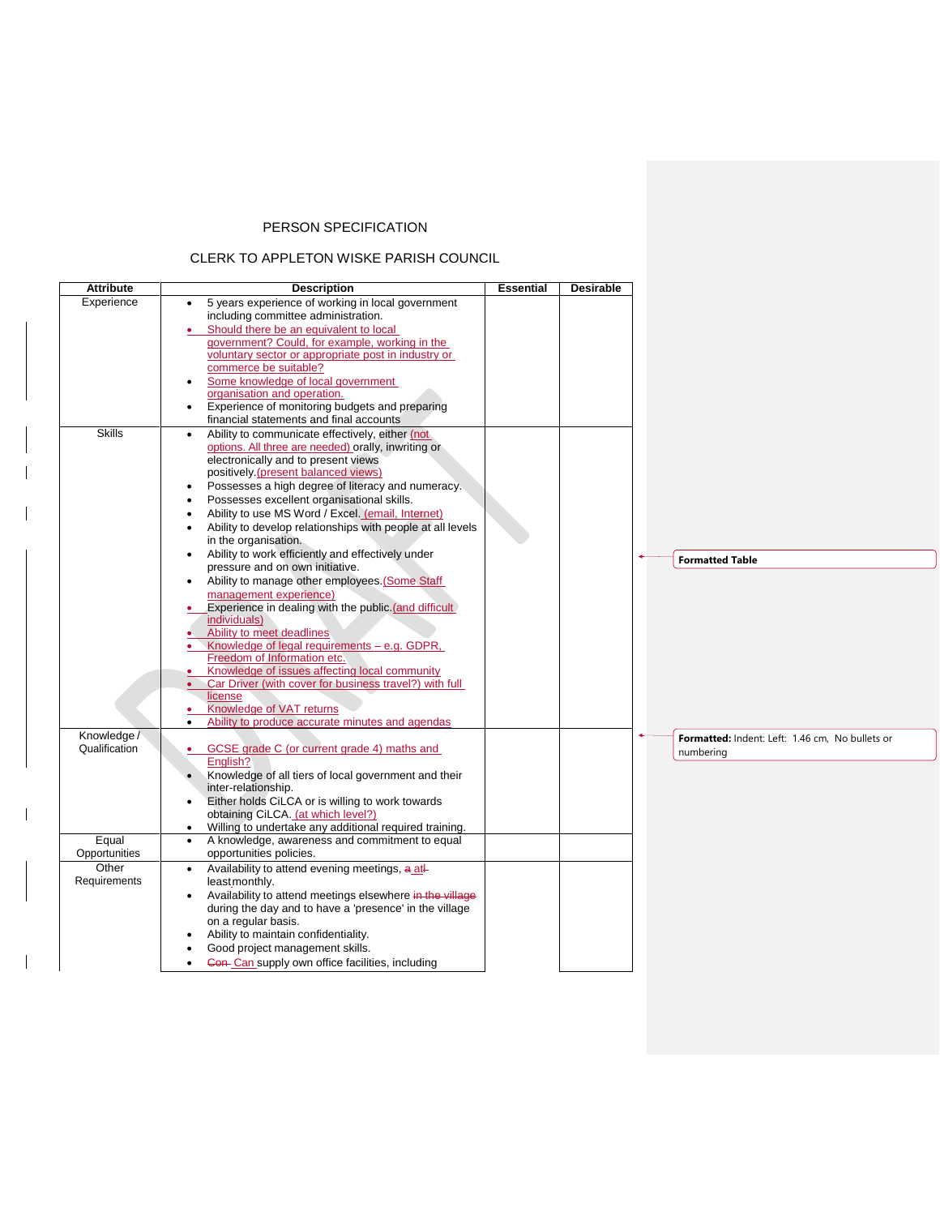## PERSON SPECIFICATION

## CLERK TO APPLETON WISKE PARISH COUNCIL

 $\mathbf{I}$ 

| <b>Attribute</b>                                | <b>Description</b>                                                                                                                                                                                                                                                                                                                                                                                                                                                                                                                          | <b>Essential</b> | Desirable |                                                              |
|-------------------------------------------------|---------------------------------------------------------------------------------------------------------------------------------------------------------------------------------------------------------------------------------------------------------------------------------------------------------------------------------------------------------------------------------------------------------------------------------------------------------------------------------------------------------------------------------------------|------------------|-----------|--------------------------------------------------------------|
| Experience                                      | 5 years experience of working in local government<br>$\bullet$<br>including committee administration.<br>Should there be an equivalent to local<br>$\bullet$<br>government? Could, for example, working in the<br>voluntary sector or appropriate post in industry or<br>commerce be suitable?<br>Some knowledge of local government<br>organisation and operation.<br>Experience of monitoring budgets and preparing<br>financial statements and final accounts                                                                            |                  |           |                                                              |
| <b>Skills</b>                                   | Ability to communicate effectively, either (not<br>options. All three are needed) orally, inwriting or<br>electronically and to present views<br>positively (present balanced views)<br>Possesses a high degree of literacy and numeracy.<br>$\bullet$<br>Possesses excellent organisational skills.<br>$\bullet$<br>Ability to use MS Word / Excel. (email, Internet)<br>$\bullet$<br>Ability to develop relationships with people at all levels<br>in the organisation.<br>Ability to work efficiently and effectively under<br>$\bullet$ |                  |           |                                                              |
|                                                 | pressure and on own initiative.<br>Ability to manage other employees. (Some Staff<br>$\bullet$<br>management experience)<br>Experience in dealing with the public (and difficult)<br>individuals)<br>Ability to meet deadlines<br>Knowledge of legal requirements - e.g. GDPR,<br>Freedom of Information etc.<br>Knowledge of issues affecting local community<br>Car Driver (with cover for business travel?) with full<br>license<br>Knowledge of VAT returns<br>٠<br>Ability to produce accurate minutes and agendas                     |                  |           | <b>Formatted Table</b>                                       |
| Knowledge /<br>Qualification                    | GCSE grade C (or current grade 4) maths and<br>English?<br>Knowledge of all tiers of local government and their<br>inter-relationship.<br>Either holds CiLCA or is willing to work towards<br>$\bullet$<br>obtaining CiLCA. (at which level?)<br>Willing to undertake any additional required training.<br>$\bullet$                                                                                                                                                                                                                        |                  |           | Formatted: Indent: Left: 1.46 cm, No bullets or<br>numbering |
| Equal<br>Opportunities<br>Other<br>Requirements | A knowledge, awareness and commitment to equal<br>$\bullet$<br>opportunities policies.<br>Availability to attend evening meetings, a atl-<br>$\bullet$<br>leastmonthly.<br>Availability to attend meetings elsewhere in the village<br>$\bullet$<br>during the day and to have a 'presence' in the village<br>on a regular basis.<br>Ability to maintain confidentiality.<br>Good project management skills.<br>Con- Can supply own office facilities, including                                                                            |                  |           |                                                              |